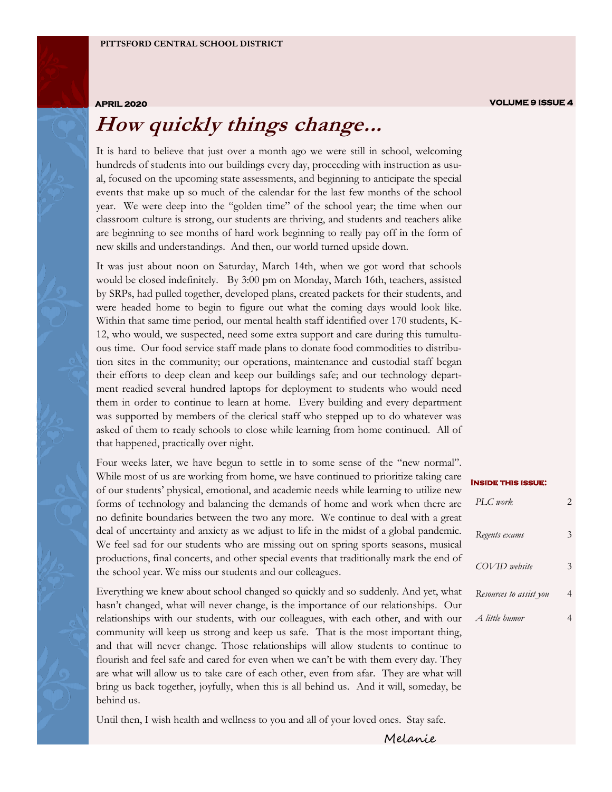### **How quickly things change...**

It is hard to believe that just over a month ago we were still in school, welcoming hundreds of students into our buildings every day, proceeding with instruction as usual, focused on the upcoming state assessments, and beginning to anticipate the special events that make up so much of the calendar for the last few months of the school year. We were deep into the "golden time" of the school year; the time when our classroom culture is strong, our students are thriving, and students and teachers alike are beginning to see months of hard work beginning to really pay off in the form of new skills and understandings. And then, our world turned upside down.

It was just about noon on Saturday, March 14th, when we got word that schools would be closed indefinitely. By 3:00 pm on Monday, March 16th, teachers, assisted by SRPs, had pulled together, developed plans, created packets for their students, and were headed home to begin to figure out what the coming days would look like. Within that same time period, our mental health staff identified over 170 students, K-12, who would, we suspected, need some extra support and care during this tumultuous time. Our food service staff made plans to donate food commodities to distribution sites in the community; our operations, maintenance and custodial staff began their efforts to deep clean and keep our buildings safe; and our technology department readied several hundred laptops for deployment to students who would need them in order to continue to learn at home. Every building and every department was supported by members of the clerical staff who stepped up to do whatever was asked of them to ready schools to close while learning from home continued. All of that happened, practically over night.

Four weeks later, we have begun to settle in to some sense of the "new normal". While most of us are working from home, we have continued to prioritize taking care of our students' physical, emotional, and academic needs while learning to utilize new forms of technology and balancing the demands of home and work when there are no definite boundaries between the two any more. We continue to deal with a great deal of uncertainty and anxiety as we adjust to life in the midst of a global pandemic. We feel sad for our students who are missing out on spring sports seasons, musical productions, final concerts, and other special events that traditionally mark the end of the school year. We miss our students and our colleagues.

Everything we knew about school changed so quickly and so suddenly. And yet, what hasn't changed, what will never change, is the importance of our relationships. Our relationships with our students, with our colleagues, with each other, and with our community will keep us strong and keep us safe. That is the most important thing, and that will never change. Those relationships will allow students to continue to flourish and feel safe and cared for even when we can't be with them every day. They are what will allow us to take care of each other, even from afar. They are what will bring us back together, joyfully, when this is all behind us. And it will, someday, be behind us.

Until then, I wish health and wellness to you and all of your loved ones. Stay safe.

| <b>INSIDE THIS ISSUE:</b> |   |
|---------------------------|---|
| $PI.C.$ work.             | 2 |
| Regents exams             | 3 |
| COVID website             | 3 |
| Resources to assist you   |   |
| A little humor            |   |

Melanie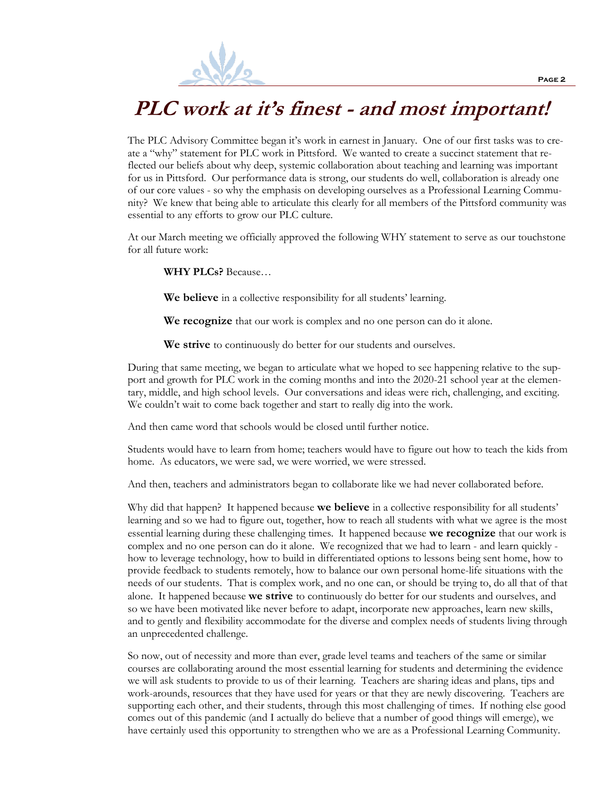

#### **PLC work at it's finest - and most important!**

The PLC Advisory Committee began it's work in earnest in January. One of our first tasks was to create a "why" statement for PLC work in Pittsford. We wanted to create a succinct statement that reflected our beliefs about why deep, systemic collaboration about teaching and learning was important for us in Pittsford. Our performance data is strong, our students do well, collaboration is already one of our core values - so why the emphasis on developing ourselves as a Professional Learning Community? We knew that being able to articulate this clearly for all members of the Pittsford community was essential to any efforts to grow our PLC culture.

At our March meeting we officially approved the following WHY statement to serve as our touchstone for all future work:

**WHY PLCs?** Because…

**We believe** in a collective responsibility for all students' learning.

**We recognize** that our work is complex and no one person can do it alone.

**We strive** to continuously do better for our students and ourselves.

During that same meeting, we began to articulate what we hoped to see happening relative to the support and growth for PLC work in the coming months and into the 2020-21 school year at the elementary, middle, and high school levels. Our conversations and ideas were rich, challenging, and exciting. We couldn't wait to come back together and start to really dig into the work.

And then came word that schools would be closed until further notice.

Students would have to learn from home; teachers would have to figure out how to teach the kids from home. As educators, we were sad, we were worried, we were stressed.

And then, teachers and administrators began to collaborate like we had never collaborated before.

Why did that happen? It happened because **we believe** in a collective responsibility for all students' learning and so we had to figure out, together, how to reach all students with what we agree is the most essential learning during these challenging times. It happened because **we recognize** that our work is complex and no one person can do it alone. We recognized that we had to learn - and learn quickly how to leverage technology, how to build in differentiated options to lessons being sent home, how to provide feedback to students remotely, how to balance our own personal home-life situations with the needs of our students. That is complex work, and no one can, or should be trying to, do all that of that alone. It happened because **we strive** to continuously do better for our students and ourselves, and so we have been motivated like never before to adapt, incorporate new approaches, learn new skills, and to gently and flexibility accommodate for the diverse and complex needs of students living through an unprecedented challenge.

So now, out of necessity and more than ever, grade level teams and teachers of the same or similar courses are collaborating around the most essential learning for students and determining the evidence we will ask students to provide to us of their learning. Teachers are sharing ideas and plans, tips and work-arounds, resources that they have used for years or that they are newly discovering. Teachers are supporting each other, and their students, through this most challenging of times. If nothing else good comes out of this pandemic (and I actually do believe that a number of good things will emerge), we have certainly used this opportunity to strengthen who we are as a Professional Learning Community.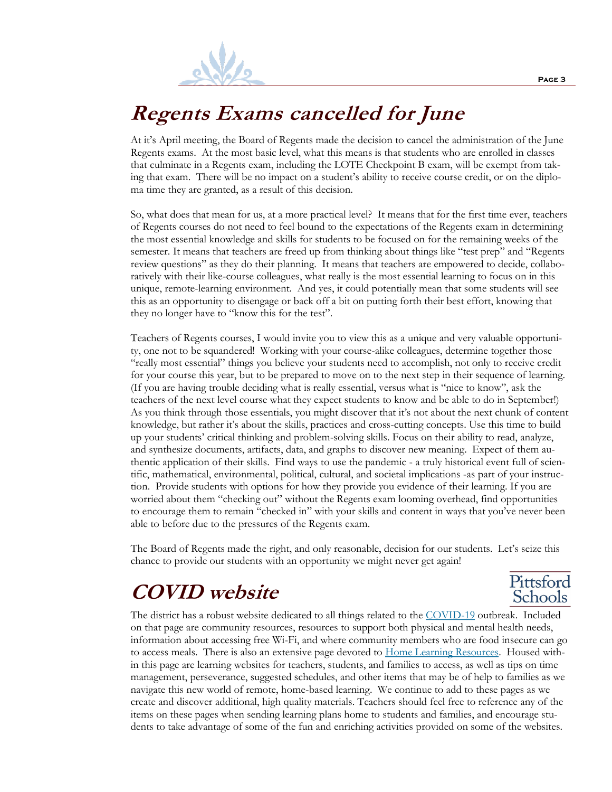

#### **Regents Exams cancelled for June**

At it's April meeting, the Board of Regents made the decision to cancel the administration of the June Regents exams. At the most basic level, what this means is that students who are enrolled in classes that culminate in a Regents exam, including the LOTE Checkpoint B exam, will be exempt from taking that exam. There will be no impact on a student's ability to receive course credit, or on the diploma time they are granted, as a result of this decision.

So, what does that mean for us, at a more practical level? It means that for the first time ever, teachers of Regents courses do not need to feel bound to the expectations of the Regents exam in determining the most essential knowledge and skills for students to be focused on for the remaining weeks of the semester. It means that teachers are freed up from thinking about things like "test prep" and "Regents review questions" as they do their planning. It means that teachers are empowered to decide, collaboratively with their like-course colleagues, what really is the most essential learning to focus on in this unique, remote-learning environment. And yes, it could potentially mean that some students will see this as an opportunity to disengage or back off a bit on putting forth their best effort, knowing that they no longer have to "know this for the test".

Teachers of Regents courses, I would invite you to view this as a unique and very valuable opportunity, one not to be squandered! Working with your course-alike colleagues, determine together those "really most essential" things you believe your students need to accomplish, not only to receive credit for your course this year, but to be prepared to move on to the next step in their sequence of learning. (If you are having trouble deciding what is really essential, versus what is "nice to know", ask the teachers of the next level course what they expect students to know and be able to do in September!) As you think through those essentials, you might discover that it's not about the next chunk of content knowledge, but rather it's about the skills, practices and cross-cutting concepts. Use this time to build up your students' critical thinking and problem-solving skills. Focus on their ability to read, analyze, and synthesize documents, artifacts, data, and graphs to discover new meaning. Expect of them authentic application of their skills. Find ways to use the pandemic - a truly historical event full of scientific, mathematical, environmental, political, cultural, and societal implications -as part of your instruction. Provide students with options for how they provide you evidence of their learning. If you are worried about them "checking out" without the Regents exam looming overhead, find opportunities to encourage them to remain "checked in" with your skills and content in ways that you've never been able to before due to the pressures of the Regents exam.

The Board of Regents made the right, and only reasonable, decision for our students. Let's seize this chance to provide our students with an opportunity we might never get again!

#### **COVID website**

The district has a robust website dedicated to all things related to the [COVID-19](https://ny02205365.schoolwires.net/COVID-19INFORMATION/fascluster/Home/Administrators/Ward%20Melanie/%5bM%20Ward%20BCKP%5d) outbreak. Included on that page are community resources, resources to support both physical and mental health needs, information about accessing free Wi-Fi, and where community members who are food insecure can go to access meals. There is also an extensive page devoted to **Home Learning Resources**. Housed within this page are learning websites for teachers, students, and families to access, as well as tips on time management, perseverance, suggested schedules, and other items that may be of help to families as we navigate this new world of remote, home-based learning. We continue to add to these pages as we create and discover additional, high quality materials. Teachers should feel free to reference any of the items on these pages when sending learning plans home to students and families, and encourage students to take advantage of some of the fun and enriching activities provided on some of the websites.

Pittsford Schools